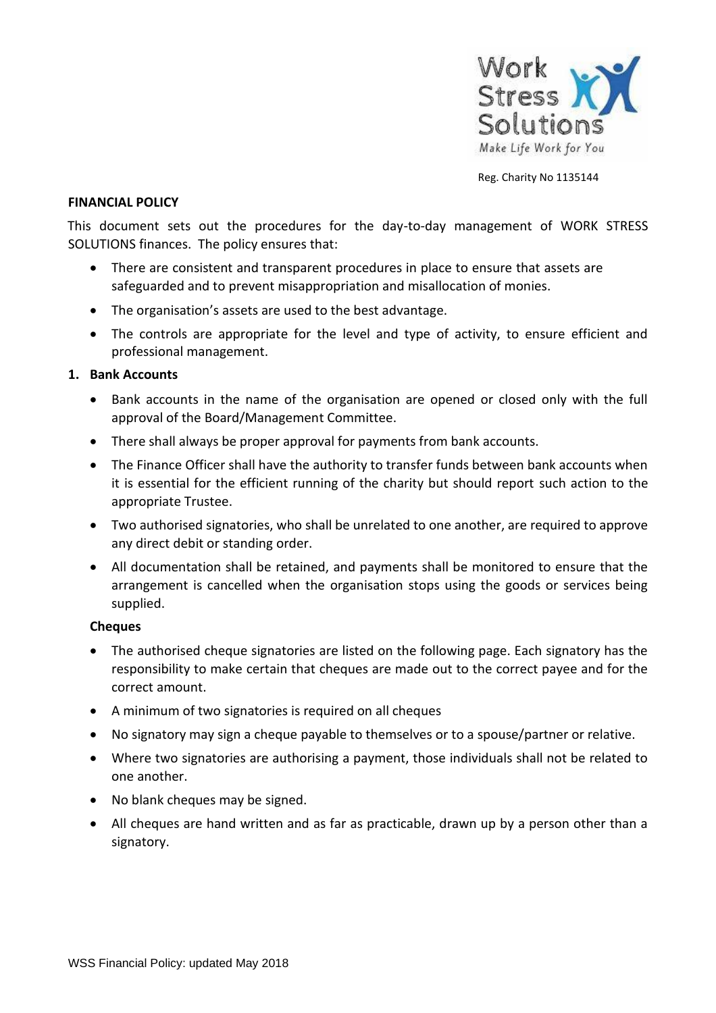

Reg. Charity No 1135144

#### **FINANCIAL POLICY**

This document sets out the procedures for the day-to-day management of WORK STRESS SOLUTIONS finances. The policy ensures that:

- There are consistent and transparent procedures in place to ensure that assets are safeguarded and to prevent misappropriation and misallocation of monies.
- The organisation's assets are used to the best advantage.
- The controls are appropriate for the level and type of activity, to ensure efficient and professional management.

#### **1. Bank Accounts**

- Bank accounts in the name of the organisation are opened or closed only with the full approval of the Board/Management Committee.
- There shall always be proper approval for payments from bank accounts.
- The Finance Officer shall have the authority to transfer funds between bank accounts when it is essential for the efficient running of the charity but should report such action to the appropriate Trustee.
- Two authorised signatories, who shall be unrelated to one another, are required to approve any direct debit or standing order.
- All documentation shall be retained, and payments shall be monitored to ensure that the arrangement is cancelled when the organisation stops using the goods or services being supplied.

#### **Cheques**

- The authorised cheque signatories are listed on the following page. Each signatory has the responsibility to make certain that cheques are made out to the correct payee and for the correct amount.
- A minimum of two signatories is required on all cheques
- No signatory may sign a cheque payable to themselves or to a spouse/partner or relative.
- Where two signatories are authorising a payment, those individuals shall not be related to one another.
- No blank cheques may be signed.
- All cheques are hand written and as far as practicable, drawn up by a person other than a signatory.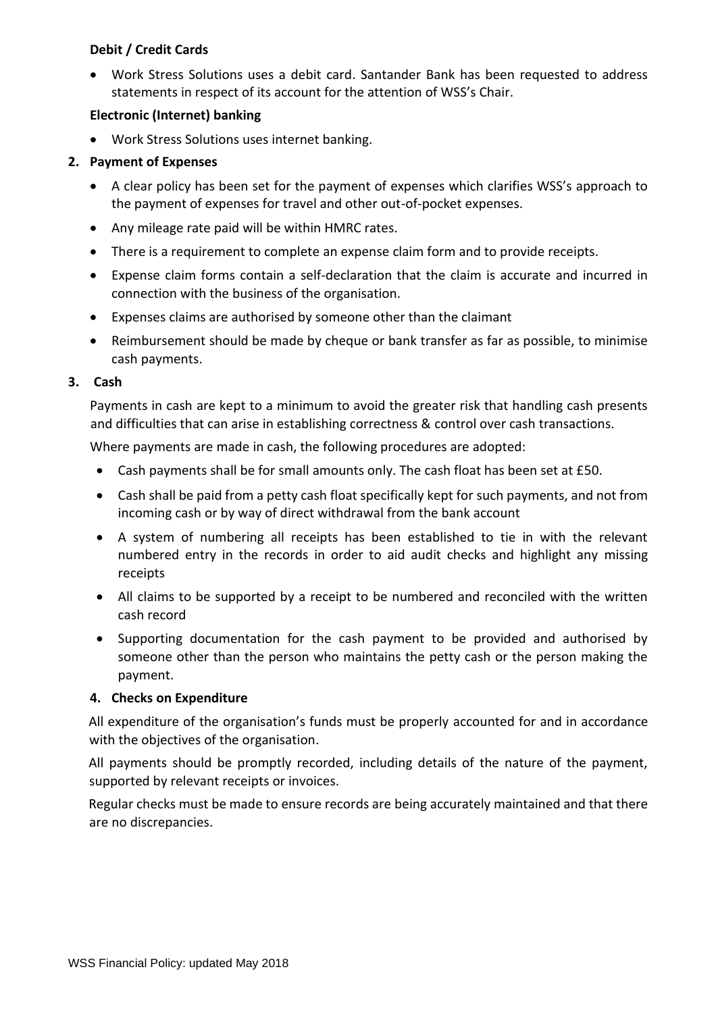# **Debit / Credit Cards**

• Work Stress Solutions uses a debit card. Santander Bank has been requested to address statements in respect of its account for the attention of WSS's Chair.

# **Electronic (Internet) banking**

• Work Stress Solutions uses internet banking.

# **2. Payment of Expenses**

- A clear policy has been set for the payment of expenses which clarifies WSS's approach to the payment of expenses for travel and other out-of-pocket expenses.
- Any mileage rate paid will be within HMRC rates.
- There is a requirement to complete an expense claim form and to provide receipts.
- Expense claim forms contain a self-declaration that the claim is accurate and incurred in connection with the business of the organisation.
- Expenses claims are authorised by someone other than the claimant
- Reimbursement should be made by cheque or bank transfer as far as possible, to minimise cash payments.

## **3. Cash**

Payments in cash are kept to a minimum to avoid the greater risk that handling cash presents and difficulties that can arise in establishing correctness & control over cash transactions.

Where payments are made in cash, the following procedures are adopted:

- Cash payments shall be for small amounts only. The cash float has been set at £50.
- Cash shall be paid from a petty cash float specifically kept for such payments, and not from incoming cash or by way of direct withdrawal from the bank account
- A system of numbering all receipts has been established to tie in with the relevant numbered entry in the records in order to aid audit checks and highlight any missing receipts
- All claims to be supported by a receipt to be numbered and reconciled with the written cash record
- Supporting documentation for the cash payment to be provided and authorised by someone other than the person who maintains the petty cash or the person making the payment.

## **4. Checks on Expenditure**

All expenditure of the organisation's funds must be properly accounted for and in accordance with the objectives of the organisation.

All payments should be promptly recorded, including details of the nature of the payment, supported by relevant receipts or invoices.

Regular checks must be made to ensure records are being accurately maintained and that there are no discrepancies.